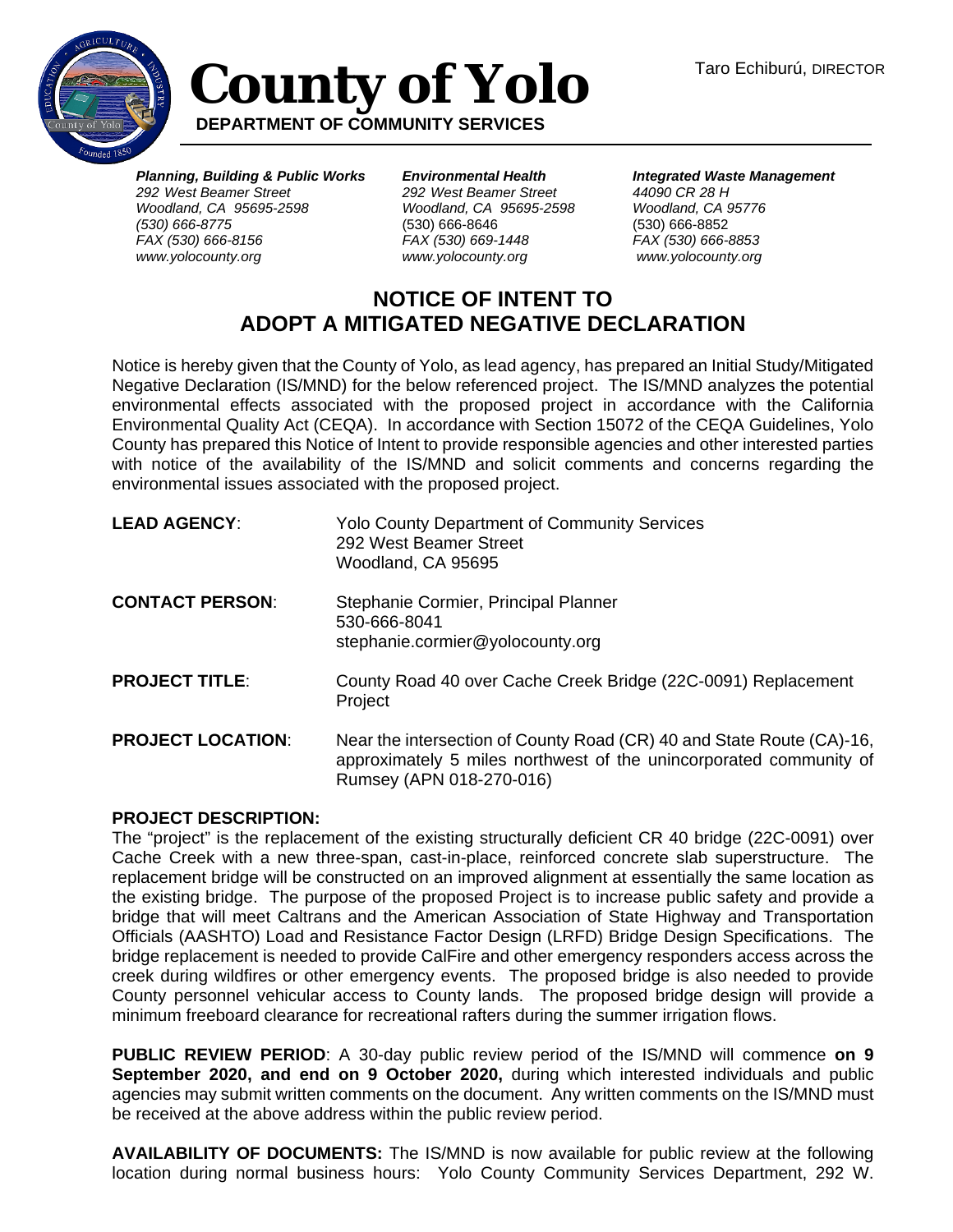

## **County of Yolo DEPARTMENT OF COMMUNITY SERVICES**

*Planning, Building & Public Works 292 West Beamer Street Woodland, CA 95695-2598 (530) 666-8775 FAX (530) 666-8156 www.yolocounty.org*

*Environmental Health 292 West Beamer Street Woodland, CA 95695-2598*  (530) 666-8646 *FAX (530) 669-1448 www.yolocounty.org*

*Integrated Waste Management 44090 CR 28 H Woodland, CA 95776* (530) 666-8852 *FAX (530) 666-8853 www.yolocounty.org*

## **NOTICE OF INTENT TO ADOPT A MITIGATED NEGATIVE DECLARATION**

Notice is hereby given that the County of Yolo, as lead agency, has prepared an Initial Study/Mitigated Negative Declaration (IS/MND) for the below referenced project. The IS/MND analyzes the potential environmental effects associated with the proposed project in accordance with the California Environmental Quality Act (CEQA). In accordance with Section 15072 of the CEQA Guidelines, Yolo County has prepared this Notice of Intent to provide responsible agencies and other interested parties with notice of the availability of the IS/MND and solicit comments and concerns regarding the environmental issues associated with the proposed project.

| <b>LEAD AGENCY:</b>      | <b>Yolo County Department of Community Services</b><br>292 West Beamer Street<br>Woodland, CA 95695                                                                     |
|--------------------------|-------------------------------------------------------------------------------------------------------------------------------------------------------------------------|
| <b>CONTACT PERSON:</b>   | Stephanie Cormier, Principal Planner<br>530-666-8041<br>stephanie.cormier@yolocounty.org                                                                                |
| <b>PROJECT TITLE:</b>    | County Road 40 over Cache Creek Bridge (22C-0091) Replacement<br>Project                                                                                                |
| <b>PROJECT LOCATION:</b> | Near the intersection of County Road (CR) 40 and State Route (CA)-16,<br>approximately 5 miles northwest of the unincorporated community of<br>Rumsey (APN 018-270-016) |

## **PROJECT DESCRIPTION:**

The "project" is the replacement of the existing structurally deficient CR 40 bridge (22C-0091) over Cache Creek with a new three-span, cast-in-place, reinforced concrete slab superstructure. The replacement bridge will be constructed on an improved alignment at essentially the same location as the existing bridge. The purpose of the proposed Project is to increase public safety and provide a bridge that will meet Caltrans and the American Association of State Highway and Transportation Officials (AASHTO) Load and Resistance Factor Design (LRFD) Bridge Design Specifications. The bridge replacement is needed to provide CalFire and other emergency responders access across the creek during wildfires or other emergency events. The proposed bridge is also needed to provide County personnel vehicular access to County lands. The proposed bridge design will provide a minimum freeboard clearance for recreational rafters during the summer irrigation flows.

**PUBLIC REVIEW PERIOD**: A 30-day public review period of the IS/MND will commence **on 9 September 2020, and end on 9 October 2020,** during which interested individuals and public agencies may submit written comments on the document. Any written comments on the IS/MND must be received at the above address within the public review period.

**AVAILABILITY OF DOCUMENTS:** The IS/MND is now available for public review at the following location during normal business hours: Yolo County Community Services Department, 292 W.